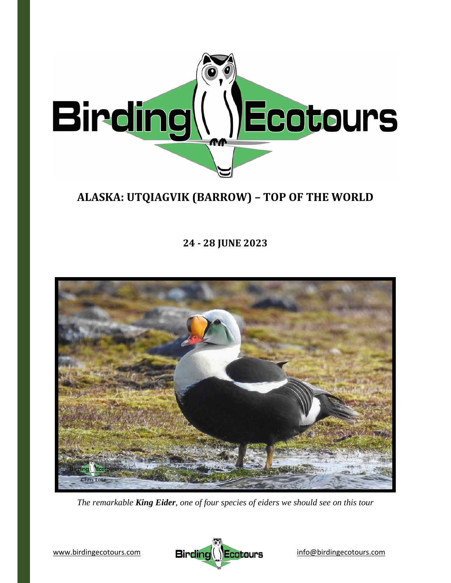

# **ALASKA: UTQIAGVIK (BARROW) – TOP OF THE WORLD**

**24 ‐ 28 JUNE 2023**



*The remarkable King Eider, one of four species of eiders we should see on this tour*

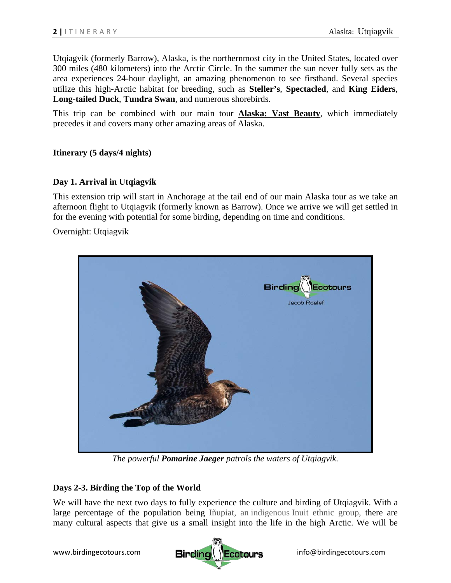Utqiagvik (formerly Barrow), Alaska, is the northernmost city in the United States, located over 300 miles (480 kilometers) into the Arctic Circle. In the summer the sun never fully sets as the area experiences 24-hour daylight, an amazing phenomenon to see firsthand. Several species utilize this high-Arctic habitat for breeding, such as **Steller's**, **Spectacled**, and **King Eiders**, **Long-tailed Duck**, **Tundra Swan**, and numerous shorebirds.

This trip can be combined with our main tour **Alaska: Vast Beauty**, which immediately precedes it and covers many other amazing areas of Alaska.

## **Itinerary (5 days/4 nights)**

## **Day 1. Arrival in Utqiagvik**

This extension trip will start in Anchorage at the tail end of our main Alaska tour as we take an afternoon flight to Utqiagvik (formerly known as Barrow). Once we arrive we will get settled in for the evening with potential for some birding, depending on time and conditions.

Overnight: Utqiagvik



*The powerful Pomarine Jaeger patrols the waters of Utqiagvik.*

## **Days 2-3. Birding the Top of the World**

We will have the next two days to fully experience the culture and birding of Utqiagvik. With a large percentage of the population being Iñupiat, an indigenous Inuit ethnic group, there are many cultural aspects that give us a small insight into the life in the high Arctic. We will be

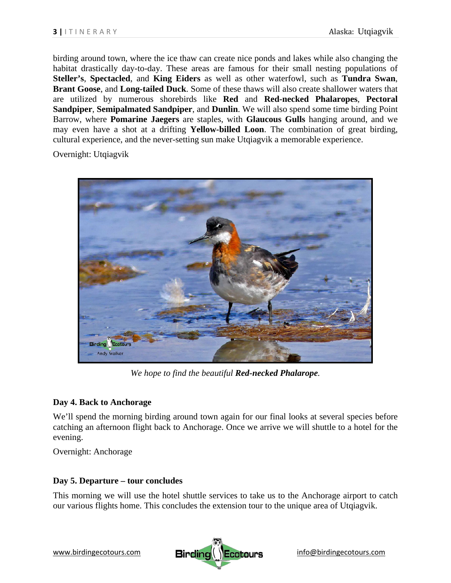birding around town, where the ice thaw can create nice ponds and lakes while also changing the habitat drastically day-to-day. These areas are famous for their small nesting populations of **Steller's**, **Spectacled**, and **King Eiders** as well as other waterfowl, such as **Tundra Swan**, **Brant Goose**, and **Long-tailed Duck**. Some of these thaws will also create shallower waters that are utilized by numerous shorebirds like **Red** and **Red-necked Phalaropes**, **Pectoral Sandpiper**, **Semipalmated Sandpiper**, and **Dunlin**. We will also spend some time birding Point Barrow, where **Pomarine Jaegers** are staples, with **Glaucous Gulls** hanging around, and we may even have a shot at a drifting **Yellow-billed Loon**. The combination of great birding, cultural experience, and the never-setting sun make Utqiagvik a memorable experience.

Overnight: Utqiagvik



*We hope to find the beautiful Red-necked Phalarope.* 

### **Day 4. Back to Anchorage**

We'll spend the morning birding around town again for our final looks at several species before catching an afternoon flight back to Anchorage. Once we arrive we will shuttle to a hotel for the evening.

Overnight: Anchorage

### **Day 5. Departure – tour concludes**

This morning we will use the hotel shuttle services to take us to the Anchorage airport to catch our various flights home. This concludes the extension tour to the unique area of Utqiagvik.